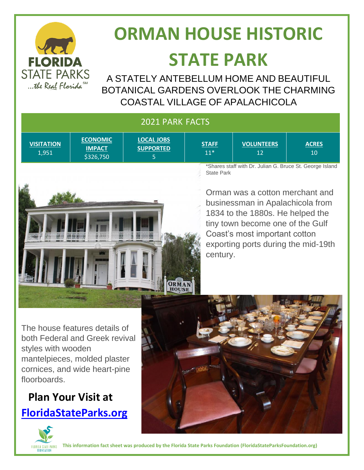

# **ORMAN HOUSE HISTORIC STATE PARK**

A STATELY ANTEBELLUM HOME AND BEAUTIFUL BOTANICAL GARDENS OVERLOOK THE CHARMING COASTAL VILLAGE OF APALACHICOLA

| <b>2021 PARK FACTS</b>                                   |                                               |                                            |                       |                         |                    |
|----------------------------------------------------------|-----------------------------------------------|--------------------------------------------|-----------------------|-------------------------|--------------------|
| <b>VISITATION</b><br>1,951                               | <b>ECONOMIC</b><br><b>IMPACT</b><br>\$326,750 | <b>LOCAL JOBS</b><br><b>SUPPORTED</b><br>5 | <b>STAFF</b><br>$11*$ | <b>VOLUNTEERS</b><br>12 | <b>ACRES</b><br>10 |
| *Charge staff with Dr. Julian C. Pruss St. Coarge Joland |                                               |                                            |                       |                         |                    |

Shares staff with Dr. Julian G. Bruce St. George Island State Park

Orman was a cotton merchant and businessman in Apalachicola from 1834 to the 1880s. He helped the tiny town become one of the Gulf Coast's most important cotton exporting ports during the mid-19th century.

The house features details of both Federal and Greek revival styles with wooden mantelpieces, molded plaster cornices, and wide heart-pine floorboards.

 $H = H + H$ 

111 111 111 111 1

111 11 111 111 111

### **Plan Your Visit at [FloridaStateParks.org](http://www.floridastateparks.org/)**





**This information fact sheet was produced by the Florida State Parks Foundation (FloridaStateParksFoundation.org)**